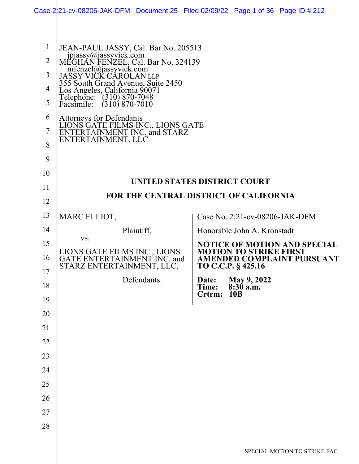|                                                                           | Case 2:21-cv-08206-JAK-DFM Document 25 Filed 02/09/22 Page 1 of 36 Page ID #:212                                                                                                                                                                                                                                                                                                                               |             |                                        |                                |                                     |
|---------------------------------------------------------------------------|----------------------------------------------------------------------------------------------------------------------------------------------------------------------------------------------------------------------------------------------------------------------------------------------------------------------------------------------------------------------------------------------------------------|-------------|----------------------------------------|--------------------------------|-------------------------------------|
| $\mathbf{1}$<br>$\overline{2}$<br>3<br>4<br>5<br>6<br>$\overline{7}$<br>8 | JEAN-PAUL JASSY, Cal. Bar No. 205513<br>jpjassy@jassyvick.com<br>MEGHAN FENZEL, Cal. Bar No. 324139<br>mfenzel@jassyvick.com<br>JASSY VIČK CAROLAN LLP<br>355 South Grand Avenue, Suite 2450<br>Los Angeles, California 90071<br>Telephone: (310) 870-7048<br>Facsimile: (310) 870-7010<br>Attorneys for Defendants<br>LIONS GATE FILMS INC., LIONS GATE<br>ENTERTAINMENT INC. and STARZ<br>ENTERTAINMENT, LLC |             |                                        |                                |                                     |
| 9                                                                         |                                                                                                                                                                                                                                                                                                                                                                                                                |             |                                        |                                |                                     |
| 10<br>11                                                                  |                                                                                                                                                                                                                                                                                                                                                                                                                |             | UNITED STATES DISTRICT COURT           |                                |                                     |
| 12                                                                        |                                                                                                                                                                                                                                                                                                                                                                                                                |             | FOR THE CENTRAL DISTRICT OF CALIFORNIA |                                |                                     |
| 13                                                                        | MARC ELLIOT,                                                                                                                                                                                                                                                                                                                                                                                                   |             |                                        | Case No. 2:21-cv-08206-JAK-DFM |                                     |
| 14                                                                        |                                                                                                                                                                                                                                                                                                                                                                                                                | Plaintiff,  |                                        | Honorable John A. Kronstadt    |                                     |
| 15                                                                        | VS.                                                                                                                                                                                                                                                                                                                                                                                                            |             |                                        |                                | <b>NOTICE OF MOTION AND SPECIAL</b> |
| 16                                                                        | LIONS GATE FILMS INC., LIONS<br>GATE ENTERTAINMENT INC. and<br>STARZ ENTERTAINMENT, LLC,                                                                                                                                                                                                                                                                                                                       |             | TO C.C.P. § 425.16                     | <b>MOTION TO STRIKE FIRST</b>  | <b>AMENDED COMPLAINT PURSUANT</b>   |
| 17                                                                        |                                                                                                                                                                                                                                                                                                                                                                                                                | Defendants. | Date:<br>Time:                         | May 9, 2022<br>8:30 a.m.       |                                     |
| 18<br>19                                                                  |                                                                                                                                                                                                                                                                                                                                                                                                                |             | Crtrm:                                 | <b>10B</b>                     |                                     |
| 20                                                                        |                                                                                                                                                                                                                                                                                                                                                                                                                |             |                                        |                                |                                     |
| 21                                                                        |                                                                                                                                                                                                                                                                                                                                                                                                                |             |                                        |                                |                                     |
| 22                                                                        |                                                                                                                                                                                                                                                                                                                                                                                                                |             |                                        |                                |                                     |
| 23                                                                        |                                                                                                                                                                                                                                                                                                                                                                                                                |             |                                        |                                |                                     |
| 24                                                                        |                                                                                                                                                                                                                                                                                                                                                                                                                |             |                                        |                                |                                     |
| 25                                                                        |                                                                                                                                                                                                                                                                                                                                                                                                                |             |                                        |                                |                                     |
| 26                                                                        |                                                                                                                                                                                                                                                                                                                                                                                                                |             |                                        |                                |                                     |
| 27                                                                        |                                                                                                                                                                                                                                                                                                                                                                                                                |             |                                        |                                |                                     |
| 28                                                                        |                                                                                                                                                                                                                                                                                                                                                                                                                |             |                                        |                                |                                     |
|                                                                           |                                                                                                                                                                                                                                                                                                                                                                                                                |             |                                        |                                |                                     |
|                                                                           |                                                                                                                                                                                                                                                                                                                                                                                                                |             |                                        |                                | SPECIAL MOTION TO STRIKE FAC        |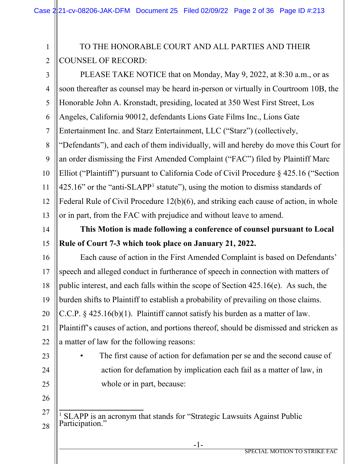#### 1 2 TO THE HONORABLE COURT AND ALL PARTIES AND THEIR COUNSEL OF RECORD:

3 4 5 6 7 8 9 10 11 12 13 PLEASE TAKE NOTICE that on Monday, May 9, 2022, at 8:30 a.m., or as soon thereafter as counsel may be heard in-person or virtually in Courtroom 10B, the Honorable John A. Kronstadt, presiding, located at 350 West First Street, Los Angeles, California 90012, defendants Lions Gate Films Inc., Lions Gate Entertainment Inc. and Starz Entertainment, LLC ("Starz") (collectively, "Defendants"), and each of them individually, will and hereby do move this Court for an order dismissing the First Amended Complaint ("FAC") filed by Plaintiff Marc Elliot ("Plaintiff") pursuant to California Code of Civil Procedure § 425.16 ("Section  $425.16$  $425.16$  $425.16$ " or the "anti-SLAPP<sup>1</sup> statute"), using the motion to dismiss standards of Federal Rule of Civil Procedure 12(b)(6), and striking each cause of action, in whole or in part, from the FAC with prejudice and without leave to amend.

#### 14 15 **This Motion is made following a conference of counsel pursuant to Local Rule of Court 7-3 which took place on January 21, 2022.**

16 17 18 19 20 21 22 Each cause of action in the First Amended Complaint is based on Defendants' speech and alleged conduct in furtherance of speech in connection with matters of public interest, and each falls within the scope of Section 425.16(e). As such, the burden shifts to Plaintiff to establish a probability of prevailing on those claims. C.C.P. § 425.16(b)(1). Plaintiff cannot satisfy his burden as a matter of law. Plaintiff's causes of action, and portions thereof, should be dismissed and stricken as a matter of law for the following reasons:

23 24 25 The first cause of action for defamation per se and the second cause of action for defamation by implication each fail as a matter of law, in whole or in part, because:

26

<span id="page-1-0"></span><sup>27</sup> 28 <sup>1</sup> SLAPP is an acronym that stands for "Strategic Lawsuits Against Public Participation."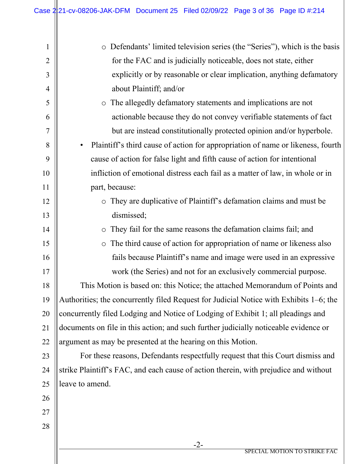| $\mathbf{1}$   | Defendants' limited television series (the "Series"), which is the basis<br>$\bigcirc$ |
|----------------|----------------------------------------------------------------------------------------|
| $\overline{2}$ | for the FAC and is judicially noticeable, does not state, either                       |
| 3              | explicitly or by reasonable or clear implication, anything defamatory                  |
| $\overline{4}$ | about Plaintiff; and/or                                                                |
| 5              | The allegedly defamatory statements and implications are not<br>$\circ$                |
| 6              | actionable because they do not convey verifiable statements of fact                    |
| 7              | but are instead constitutionally protected opinion and/or hyperbole.                   |
| 8              | Plaintiff's third cause of action for appropriation of name or likeness, fourth        |
| 9              | cause of action for false light and fifth cause of action for intentional              |
| 10             | infliction of emotional distress each fail as a matter of law, in whole or in          |
| 11             | part, because:                                                                         |
| 12             | o They are duplicative of Plaintiff's defamation claims and must be                    |
| 13             | dismissed;                                                                             |
| 14             | They fail for the same reasons the defamation claims fail; and<br>$\bigcirc$           |
| 15             | The third cause of action for appropriation of name or likeness also<br>$\bigcirc$     |
| 16             | fails because Plaintiff's name and image were used in an expressive                    |
| 17             | work (the Series) and not for an exclusively commercial purpose.                       |
| 18             | This Motion is based on: this Notice; the attached Memorandum of Points and            |
| 19             | Authorities; the concurrently filed Request for Judicial Notice with Exhibits 1-6; the |
| 20             | concurrently filed Lodging and Notice of Lodging of Exhibit 1; all pleadings and       |
| 21             | documents on file in this action; and such further judicially noticeable evidence or   |
| 22             | argument as may be presented at the hearing on this Motion.                            |
| 23             | For these reasons, Defendants respectfully request that this Court dismiss and         |
| 24             | strike Plaintiff's FAC, and each cause of action therein, with prejudice and without   |
| 25             | leave to amend.                                                                        |
| 26             |                                                                                        |
| 27             |                                                                                        |
| 28             |                                                                                        |
|                | $-2-$                                                                                  |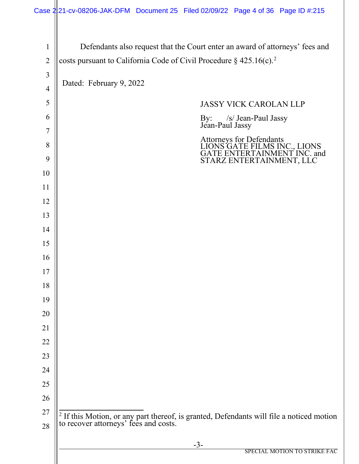<span id="page-3-0"></span>

| $\mathbf{1}$   | Defendants also request that the Court enter an award of attorneys' fees and                                                     |
|----------------|----------------------------------------------------------------------------------------------------------------------------------|
| $\overline{2}$ | costs pursuant to California Code of Civil Procedure $\S$ 425.16(c). <sup>2</sup>                                                |
| $\overline{3}$ |                                                                                                                                  |
| $\overline{4}$ | Dated: February 9, 2022                                                                                                          |
| 5              | <b>JASSY VICK CAROLAN LLP</b>                                                                                                    |
| 6              |                                                                                                                                  |
| 7              | By: /s/ Jean-Paul Jassy<br>Jean-Paul Jassy                                                                                       |
| 8              | Attorneys for Defendants<br>LIONS GATE FILMS INC., LIONS                                                                         |
| 9              | GATE ENTERTAINMENT INC. and<br>STARZ ENTERTAINMENT, LLC                                                                          |
| 10             |                                                                                                                                  |
| 11             |                                                                                                                                  |
| 12             |                                                                                                                                  |
| 13             |                                                                                                                                  |
| 14             |                                                                                                                                  |
| 15             |                                                                                                                                  |
| 16             |                                                                                                                                  |
| 17             |                                                                                                                                  |
| 18             |                                                                                                                                  |
| 19             |                                                                                                                                  |
| 20             |                                                                                                                                  |
| 21             |                                                                                                                                  |
| 22             |                                                                                                                                  |
| 23             |                                                                                                                                  |
| 24             |                                                                                                                                  |
| 25             |                                                                                                                                  |
| 26             |                                                                                                                                  |
| 27             | $2$ If this Motion, or any part thereof, is granted, Defendants will file a noticed motion to recover attorneys' fees and costs. |
| 28             |                                                                                                                                  |
|                | $-3-$<br>SPECIAL MOTION TO STRIKE FAC                                                                                            |
|                |                                                                                                                                  |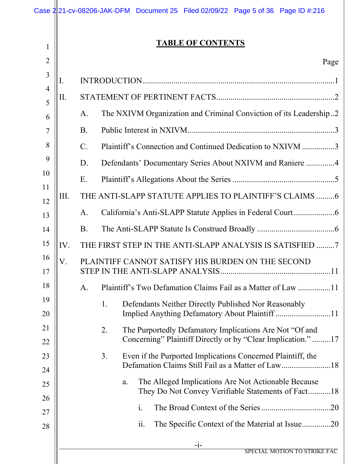|                |                | Case 2:21-cv-08206-JAK-DFM Document 25 Filed 02/09/22 Page 5 of 36 Page ID #:216                                               |
|----------------|----------------|--------------------------------------------------------------------------------------------------------------------------------|
| $\mathbf{1}$   |                | <b>TABLE OF CONTENTS</b>                                                                                                       |
| $\overline{2}$ |                | Page                                                                                                                           |
| 3              | I.             |                                                                                                                                |
| $\overline{4}$ | Π.             |                                                                                                                                |
| 5<br>6         |                | The NXIVM Organization and Criminal Conviction of its Leadership2<br>A.                                                        |
| 7              |                | <b>B.</b>                                                                                                                      |
| 8              |                | Plaintiff's Connection and Continued Dedication to NXIVM 3<br>$\mathcal{C}$ .                                                  |
| 9              |                | Defendants' Documentary Series About NXIVM and Raniere 4<br>D.                                                                 |
| 10             |                | E.                                                                                                                             |
| 11             | III.           | THE ANTI-SLAPP STATUTE APPLIES TO PLAINTIFF'S CLAIMS 6                                                                         |
| 12             |                | A.                                                                                                                             |
| 13<br>14       |                | <b>B.</b>                                                                                                                      |
| 15             | IV.            | THE FIRST STEP IN THE ANTI-SLAPP ANALYSIS IS SATISFIED 7                                                                       |
| 16             | $\overline{V}$ | PLAINTIFF CANNOT SATISFY HIS BURDEN ON THE SECOND                                                                              |
| 17             |                |                                                                                                                                |
| 18             |                | Plaintiff's Two Defamation Claims Fail as a Matter of Law 11<br>A.                                                             |
| 19             |                | Defendants Neither Directly Published Nor Reasonably<br>1.                                                                     |
| 20             |                |                                                                                                                                |
| 21<br>22       |                | 2.<br>The Purportedly Defamatory Implications Are Not "Of and<br>Concerning" Plaintiff Directly or by "Clear Implication."  17 |
| 23             |                | Even if the Purported Implications Concerned Plaintiff, the<br>3.                                                              |
| 24             |                | Defamation Claims Still Fail as a Matter of Law18                                                                              |
| 25             |                | The Alleged Implications Are Not Actionable Because<br>a.                                                                      |
| 26             |                | They Do Not Convey Verifiable Statements of Fact18                                                                             |
| 27             |                | $\mathbf{i}$ .                                                                                                                 |
| 28             |                | The Specific Context of the Material at Issue20<br>ii.                                                                         |
|                |                | $-1-$<br>SPECIAL MOTION TO STRIKE FAC                                                                                          |
|                |                |                                                                                                                                |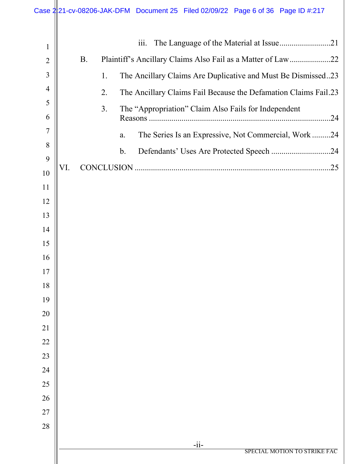|                | Case 2 21-cv-08206-JAK-DFM Document 25 Filed 02/09/22 Page 6 of 36 Page ID #:217 |
|----------------|----------------------------------------------------------------------------------|
| $\mathbf{1}$   | $\overline{\text{iii}}$ .                                                        |
| $\overline{2}$ | <b>B.</b><br>Plaintiff's Ancillary Claims Also Fail as a Matter of Law22         |
| 3              | The Ancillary Claims Are Duplicative and Must Be Dismissed23<br>1.               |
| $\overline{4}$ | 2.<br>The Ancillary Claims Fail Because the Defamation Claims Fail.23            |
| 5              | 3.<br>The "Appropriation" Claim Also Fails for Independent                       |
| 6              |                                                                                  |
| 7              | The Series Is an Expressive, Not Commercial, Work24<br>a.                        |
| 8              | $\mathbf b$ .<br>Defendants' Uses Are Protected Speech 24                        |
| 9              | VI.                                                                              |
| 10             |                                                                                  |
| 11<br>12       |                                                                                  |
| 13             |                                                                                  |
| 14             |                                                                                  |
| 15             |                                                                                  |
| 16             |                                                                                  |
| 17             |                                                                                  |
| 18             |                                                                                  |
| 19             |                                                                                  |
| 20             |                                                                                  |
| 21             |                                                                                  |
| 22             |                                                                                  |
| 23             |                                                                                  |
| 24             |                                                                                  |
| 25             |                                                                                  |
| 26             |                                                                                  |
| 27             |                                                                                  |
| 28             |                                                                                  |
|                | $-ii-$<br>SPECIAL MOTION TO STRIKE FAC                                           |
|                |                                                                                  |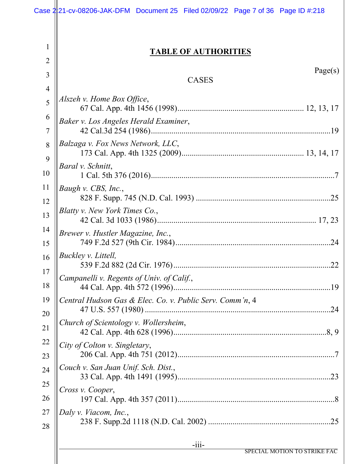|                     | Case 2 21-cv-08206-JAK-DFM Document 25 Filed 02/09/22 Page 7 of 36 Page ID #:218 |
|---------------------|----------------------------------------------------------------------------------|
| $\mathbf{1}$<br>2   | <b>TABLE OF AUTHORITIES</b>                                                      |
| 3                   | Page(s)<br><b>CASES</b>                                                          |
| $\overline{4}$<br>5 | Alszeh v. Home Box Office,                                                       |
| 6                   | Baker v. Los Angeles Herald Examiner,                                            |
| 7                   | Balzaga v. Fox News Network, LLC,                                                |
| 8<br>9              |                                                                                  |
| 10                  | Baral v. Schnitt,                                                                |
| 11<br>12            | Baugh v. CBS, Inc.,                                                              |
| 13                  | Blatty v. New York Times Co.,                                                    |
| 14<br>15            | Brewer v. Hustler Magazine, Inc.,                                                |
| 16                  | Buckley v. Littell,                                                              |
| 17<br>18            | Campanelli v. Regents of Univ. of Calif.,                                        |
| 19<br>20            | Central Hudson Gas & Elec. Co. v. Public Serv. Comm'n, 4                         |
| 21                  | Church of Scientology v. Wollersheim,                                            |
| 22<br>23            | City of Colton v. Singletary,                                                    |
| 24                  | Couch v. San Juan Unif. Sch. Dist.,                                              |
| 25<br>26            | Cross v. Cooper,                                                                 |
| 27                  | Daly v. Viacom, Inc.,                                                            |
| 28                  |                                                                                  |
|                     | $-iii-$<br>SPECIAL MOTION TO STRIKE FAC                                          |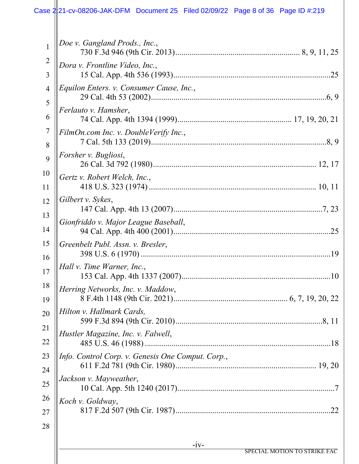#### -iv- SPECIAL MOTION TO STRIKE FAC 1 2 3 4 5 6 7 8 9 10 11 12 13 14 15 16 17 18 19 20 21 22 23 24 25 26 27 28 *Doe v. Gangland Prods., Inc.*, 730 F.3d 946 (9th Cir. 2013)............................................................. 8, 9, 11, 25 *Dora v. Frontline Video, Inc.*, 15 Cal. App. 4th 536 (1993).............................................................................25 *Equilon Enters. v. Consumer Cause, Inc.*, 29 Cal. 4th 53 (2002)......................................................................................6, 9 *Ferlauto v. Hamsher*, 74 Cal. App. 4th 1394 (1999)........................................................ 17, 19, 20, 21 *FilmOn.com Inc. v. DoubleVerify Inc.*, 7 Cal. 5th 133 (2019)......................................................................................8, 9 *Forsher v. Bugliosi*, 26 Cal. 3d 792 (1980)................................................................................ 12, 17 *Gertz v. Robert Welch, Inc.*, 418 U.S. 323 (1974) .................................................................................. 10, 11 *Gilbert v. Sykes*, 147 Cal. App. 4th 13 (2007).........................................................................7, 23 *Gionfriddo v. Major League Baseball*, 94 Cal. App. 4th 400 (2001).............................................................................25 *Greenbelt Publ. Assn. v. Bresler*, 398 U.S. 6 (1970) .............................................................................................19 *Hall v. Time Warner, Inc.*, 153 Cal. App. 4th 1337 (2007).........................................................................10 *Herring Networks, Inc. v. Maddow*, 8 F.4th 1148 (9th Cir. 2021)........................................................ 6, 7, 19, 20, 22 *Hilton v. Hallmark Cards,*  599 F.3d 894 (9th Cir. 2010)........................................................................8, 11 *Hustler Magazine, Inc. v. Falwell*, 485 U.S. 46 (1988) ...........................................................................................18 *Info. Control Corp. v. Genesis One Comput. Corp.*, 611 F.2d 781 (9th Cir. 1980)..................................................................... 19, 20 *Jackson v. Mayweather*, 10 Cal. App. 5th 1240 (2017).............................................................................7 *Koch v. Goldway*, 817 F.2d 507 (9th Cir. 1987)............................................................................22 Case 2:21-cv-08206-JAK-DFM Document 25 Filed 02/09/22 Page 8 of 36 Page ID #:219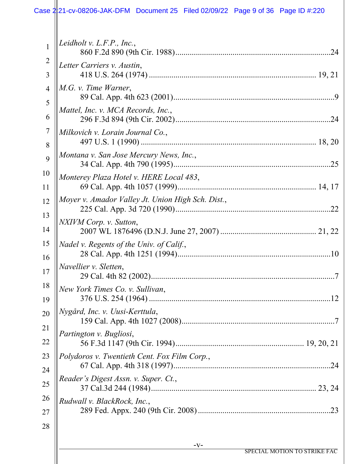# Case 2:21-cv-08206-JAK-DFM Document 25 Filed 02/09/22 Page 9 of 36 Page ID #:220

|                     | $-V-$                                             |
|---------------------|---------------------------------------------------|
| 28                  |                                                   |
| 27                  |                                                   |
| 26                  | Rudwall v. BlackRock, Inc.,                       |
| 25                  | Reader's Digest Assn. v. Super. Ct.,              |
| 24                  |                                                   |
| 23                  | Polydoros v. Twentieth Cent. Fox Film Corp.,      |
| 22                  | Partington v. Bugliosi,                           |
| 20<br>21            |                                                   |
| 19                  | Nygård, Inc. v. Uusi-Kerttula,                    |
| 18                  | New York Times Co. v. Sullivan,                   |
| 17                  | Navellier v. Sletten,                             |
| 16                  |                                                   |
| 15                  | Nadel v. Regents of the Univ. of Calif.,          |
| 14                  | NXIVM Corp. v. Sutton,                            |
| 13                  | .22                                               |
| 11<br>12            | Moyer v. Amador Valley Jt. Union High Sch. Dist., |
| 10                  | Monterey Plaza Hotel v. HERE Local 483,           |
| 9                   | Montana v. San Jose Mercury News, Inc.,           |
| 8                   |                                                   |
| 7                   | Milkovich v. Lorain Journal Co.,                  |
| 6                   | Mattel, Inc. v. MCA Records, Inc.,<br>.24         |
| 5                   |                                                   |
| $\overline{4}$      | M.G. v. Time Warner,                              |
| $\overline{2}$<br>3 | Letter Carriers v. Austin,                        |
| $\mathbf{1}$        | .24                                               |
|                     | Leidholt v. $L.F.P., Inc.,$                       |
|                     |                                                   |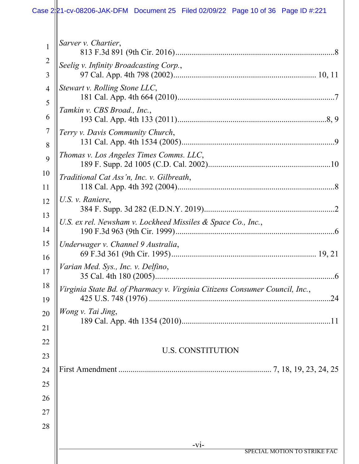# Case 2:21-cv-08206-JAK-DFM Document 25 Filed 02/09/22 Page 10 of 36 Page ID #:221

| $\mathbf{1}$ | Sarver v. Chartier,                                                         |
|--------------|-----------------------------------------------------------------------------|
| 2<br>3       | Seelig v. Infinity Broadcasting Corp.,                                      |
| 4            | Stewart v. Rolling Stone LLC,                                               |
| 5<br>6       | Tamkin v. CBS Broad., Inc.,                                                 |
| 7            | Terry v. Davis Community Church,                                            |
| 8<br>9       | Thomas v. Los Angeles Times Comms. LLC,                                     |
| 10           | Traditional Cat Ass'n, Inc. v. Gilbreath,                                   |
| 11<br>12     | U.S. v. Raniere,                                                            |
| 13           | U.S. ex rel. Newsham v. Lockheed Missiles & Space Co., Inc.,                |
| 14<br>15     | Underwager v. Channel 9 Australia,                                          |
| 16           | Varian Med. Sys., Inc. v. Delfino,                                          |
| 17<br>18     | 6                                                                           |
| 19           | Virginia State Bd. of Pharmacy v. Virginia Citizens Consumer Council, Inc., |
| 20           | Wong v. Tai Jing,                                                           |
| 21<br>22     |                                                                             |
| 23           | <b>U.S. CONSTITUTION</b>                                                    |
| 24<br>25     |                                                                             |
| 26           |                                                                             |
| 27           |                                                                             |
| 28           |                                                                             |
|              | $-vi-$<br>SPECIAL MOTION TO STRIKE FAC                                      |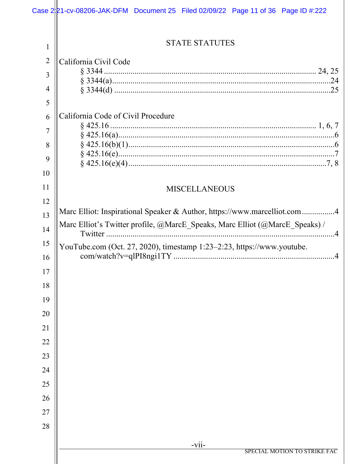|                | Case 2 21-cv-08206-JAK-DFM Document 25 Filed 02/09/22 Page 11 of 36 Page ID #:222 |
|----------------|-----------------------------------------------------------------------------------|
| 1              | <b>STATE STATUTES</b>                                                             |
| $\overline{2}$ | California Civil Code                                                             |
| 3              |                                                                                   |
| $\overline{4}$ |                                                                                   |
| 5              |                                                                                   |
| 6              | California Code of Civil Procedure                                                |
|                |                                                                                   |
| 7              |                                                                                   |
| 8              |                                                                                   |
| 9              |                                                                                   |
| 10             |                                                                                   |
| 11             | <b>MISCELLANEOUS</b>                                                              |
| 12             | Marc Elliot: Inspirational Speaker & Author, https://www.marcelliot.com4          |
| 13             | Marc Elliot's Twitter profile, @MarcE_Speaks, Marc Elliot (@MarcE_Speaks) /       |
| 14             |                                                                                   |
| 15             | YouTube.com (Oct. 27, 2020), timestamp 1:23-2:23, https://www.youtube.            |
| 16             |                                                                                   |
| 17             |                                                                                   |
| 18             |                                                                                   |
| 19             |                                                                                   |
| 20             |                                                                                   |
| 21             |                                                                                   |
| 22             |                                                                                   |
| 23             |                                                                                   |
| 24             |                                                                                   |
| 25             |                                                                                   |
| 26             |                                                                                   |
| 27             |                                                                                   |
| 28             |                                                                                   |
|                |                                                                                   |
|                | $-vii-$<br>SPECIAL MOTION TO STRIKE FAC                                           |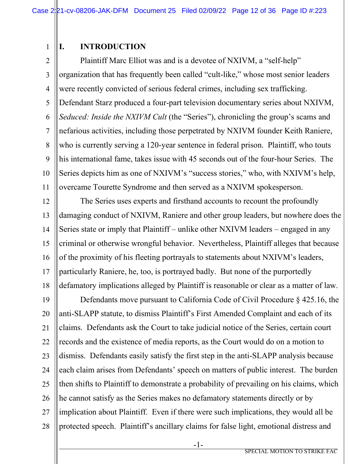# **I. INTRODUCTION**

1

2 3 4 5 6 7 8 9 10 11 Plaintiff Marc Elliot was and is a devotee of NXIVM, a "self-help" organization that has frequently been called "cult-like," whose most senior leaders were recently convicted of serious federal crimes, including sex trafficking. Defendant Starz produced a four-part television documentary series about NXIVM, *Seduced: Inside the NXIVM Cult* (the "Series"), chronicling the group's scams and nefarious activities, including those perpetrated by NXIVM founder Keith Raniere, who is currently serving a 120-year sentence in federal prison. Plaintiff, who touts his international fame, takes issue with 45 seconds out of the four-hour Series. The Series depicts him as one of NXIVM's "success stories," who, with NXIVM's help, overcame Tourette Syndrome and then served as a NXIVM spokesperson.

12 13 14 15 16 17 18 The Series uses experts and firsthand accounts to recount the profoundly damaging conduct of NXIVM, Raniere and other group leaders, but nowhere does the Series state or imply that Plaintiff – unlike other NXIVM leaders – engaged in any criminal or otherwise wrongful behavior. Nevertheless, Plaintiff alleges that because of the proximity of his fleeting portrayals to statements about NXIVM's leaders, particularly Raniere, he, too, is portrayed badly. But none of the purportedly defamatory implications alleged by Plaintiff is reasonable or clear as a matter of law.

19 20 21 22 23 24 25 26 27 28 Defendants move pursuant to California Code of Civil Procedure § 425.16, the anti-SLAPP statute, to dismiss Plaintiff's First Amended Complaint and each of its claims. Defendants ask the Court to take judicial notice of the Series, certain court records and the existence of media reports, as the Court would do on a motion to dismiss. Defendants easily satisfy the first step in the anti-SLAPP analysis because each claim arises from Defendants' speech on matters of public interest. The burden then shifts to Plaintiff to demonstrate a probability of prevailing on his claims, which he cannot satisfy as the Series makes no defamatory statements directly or by implication about Plaintiff. Even if there were such implications, they would all be protected speech. Plaintiff's ancillary claims for false light, emotional distress and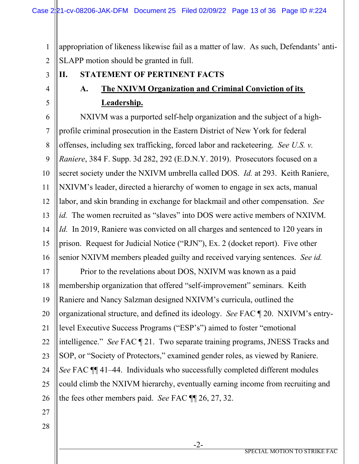1 2 appropriation of likeness likewise fail as a matter of law. As such, Defendants' anti-SLAPP motion should be granted in full.

3

4

5

# **A. The NXIVM Organization and Criminal Conviction of its**

# **Leadership.**

**II. STATEMENT OF PERTINENT FACTS**

6 7 8 9 10 11 12 13 14 15 16 NXIVM was a purported self-help organization and the subject of a highprofile criminal prosecution in the Eastern District of New York for federal offenses, including sex trafficking, forced labor and racketeering. *See U.S. v. Raniere*, 384 F. Supp. 3d 282, 292 (E.D.N.Y. 2019). Prosecutors focused on a secret society under the NXIVM umbrella called DOS. *Id.* at 293. Keith Raniere, NXIVM's leader, directed a hierarchy of women to engage in sex acts, manual labor, and skin branding in exchange for blackmail and other compensation. *See id.* The women recruited as "slaves" into DOS were active members of NXIVM. *Id.* In 2019, Raniere was convicted on all charges and sentenced to 120 years in prison. Request for Judicial Notice ("RJN"), Ex. 2 (docket report). Five other senior NXIVM members pleaded guilty and received varying sentences. *See id.*

17 18 19 20 21 22 23 24 25 26 Prior to the revelations about DOS, NXIVM was known as a paid membership organization that offered "self-improvement" seminars. Keith Raniere and Nancy Salzman designed NXIVM's curricula, outlined the organizational structure, and defined its ideology. *See* FAC ¶ 20. NXIVM's entrylevel Executive Success Programs ("ESP's") aimed to foster "emotional intelligence." *See* FAC ¶ 21. Two separate training programs, JNESS Tracks and SOP, or "Society of Protectors," examined gender roles, as viewed by Raniere. *See* FAC ¶¶ 41–44. Individuals who successfully completed different modules could climb the NXIVM hierarchy, eventually earning income from recruiting and the fees other members paid. *See* FAC ¶¶ 26, 27, 32.

- 27
- 28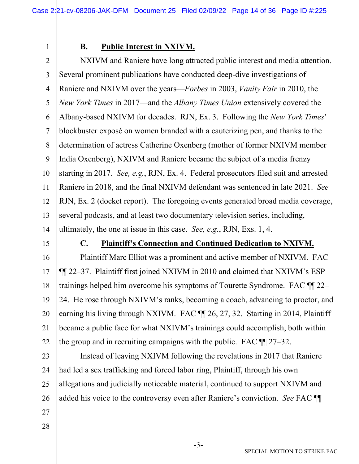1

# **B. Public Interest in NXIVM.**

2 3 4 5 6 7 8 9 10 11 12 13 14 NXIVM and Raniere have long attracted public interest and media attention. Several prominent publications have conducted deep-dive investigations of Raniere and NXIVM over the years—*Forbes* in 2003, *Vanity Fair* in 2010, the *New York Times* in 2017—and the *Albany Times Union* extensively covered the Albany-based NXIVM for decades. RJN, Ex. 3. Following the *New York Times*' blockbuster exposé on women branded with a cauterizing pen, and thanks to the determination of actress Catherine Oxenberg (mother of former NXIVM member India Oxenberg), NXIVM and Raniere became the subject of a media frenzy starting in 2017. *See, e.g.*, RJN, Ex. 4. Federal prosecutors filed suit and arrested Raniere in 2018, and the final NXIVM defendant was sentenced in late 2021. *See* RJN, Ex. 2 (docket report). The foregoing events generated broad media coverage, several podcasts, and at least two documentary television series, including, ultimately, the one at issue in this case. *See, e.g.*, RJN, Exs. 1, 4.

15

## **C. Plaintiff's Connection and Continued Dedication to NXIVM.**

16 17 18 19 20 21 22 Plaintiff Marc Elliot was a prominent and active member of NXIVM. FAC ¶¶ 22–37. Plaintiff first joined NXIVM in 2010 and claimed that NXIVM's ESP trainings helped him overcome his symptoms of Tourette Syndrome. FAC ¶¶ 22– 24. He rose through NXIVM's ranks, becoming a coach, advancing to proctor, and earning his living through NXIVM. FAC  $\P$  26, 27, 32. Starting in 2014, Plaintiff became a public face for what NXIVM's trainings could accomplish, both within the group and in recruiting campaigns with the public. FAC ¶¶ 27–32.

23 24 25 26 Instead of leaving NXIVM following the revelations in 2017 that Raniere had led a sex trafficking and forced labor ring, Plaintiff, through his own allegations and judicially noticeable material, continued to support NXIVM and added his voice to the controversy even after Raniere's conviction. *See* FAC ¶¶

- 27
- 28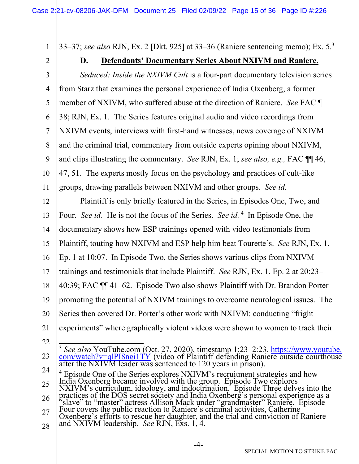1 33–37; *see also* RJN, Ex. 2 [Dkt. 925] at 33–36 (Raniere sentencing memo); Ex. 5. [3](#page-14-0)

2

# **D. Defendants' Documentary Series About NXIVM and Raniere.**

3 4 5 6 7 8 9 10 11 *Seduced: Inside the NXIVM Cult* is a four-part documentary television series from Starz that examines the personal experience of India Oxenberg, a former member of NXIVM, who suffered abuse at the direction of Raniere. *See* FAC ¶ 38; RJN, Ex. 1. The Series features original audio and video recordings from NXIVM events, interviews with first-hand witnesses, news coverage of NXIVM and the criminal trial, commentary from outside experts opining about NXIVM, and clips illustrating the commentary. *See* RJN, Ex. 1; *see also, e.g.,* FAC ¶¶ 46, 47, 51. The experts mostly focus on the psychology and practices of cult-like groups, drawing parallels between NXIVM and other groups. *See id.* 

12 13 14 15 16 17 18 19 20 21 22 Plaintiff is only briefly featured in the Series, in Episodes One, Two, and Four. *See id.* He is not the focus of the Series. *See id*.<sup>[4](#page-14-1)</sup> In Episode One, the documentary shows how ESP trainings opened with video testimonials from Plaintiff, touting how NXIVM and ESP help him beat Tourette's. *See* RJN, Ex. 1, Ep. 1 at 10:07. In Episode Two, the Series shows various clips from NXIVM trainings and testimonials that include Plaintiff. *See* RJN, Ex. 1, Ep. 2 at 20:23– 40:39; FAC ¶¶ 41–62. Episode Two also shows Plaintiff with Dr. Brandon Porter promoting the potential of NXIVM trainings to overcome neurological issues. The Series then covered Dr. Porter's other work with NXIVM: conducting "fright experiments" where graphically violent videos were shown to women to track their

<span id="page-14-0"></span><sup>23</sup> 24 <sup>3</sup> *See also* YouTube.com (Oct. 27, 2020), timestamp 1:23–2:23, [https://www.youtube.](https://www.youtube.com/watch?v=qlPI8ngi1TY)[com/watch?v=qlPI8ngi1TY](https://www.youtube.com/watch?v=qlPI8ngi1TY) (video of Plaintiff defending Raniere outside courthouse after the NXIVM leader was sentenced to 120 years in pri

<span id="page-14-1"></span><sup>&</sup>lt;sup>4</sup> Episode One of the Series explores NXIVM's recruitment strategies and how India Oxenberg became involved with the group. Episode Two explores

<sup>25</sup> 26 NXIVM's curriculum, ideology, and indoctrination. Episode Three delves into the practices of the DOS secret society and India Oxenberg's personal experience as a

<sup>27</sup> 28 "slave" to "master" actress Allison Mack under "grandmaster" Raniere. Episode<br>Four covers the public reaction to Raniere's criminal activities, Catherine<br>Oxenberg's efforts to rescue her daughter, and the trial and convict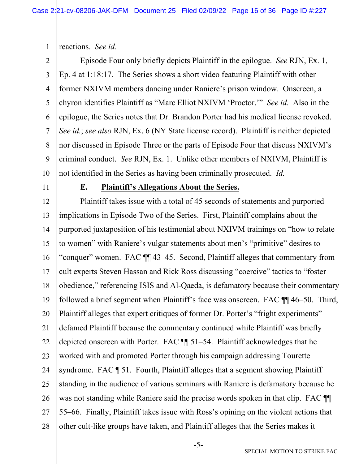1 reactions. *See id.*

2 3 4 5 6 7 8 9 10 Episode Four only briefly depicts Plaintiff in the epilogue. *See* RJN, Ex. 1, Ep. 4 at 1:18:17. The Series shows a short video featuring Plaintiff with other former NXIVM members dancing under Raniere's prison window. Onscreen, a chyron identifies Plaintiff as "Marc Elliot NXIVM 'Proctor.'" *See id.* Also in the epilogue, the Series notes that Dr. Brandon Porter had his medical license revoked. *See id.*; *see also* RJN, Ex. 6 (NY State license record). Plaintiff is neither depicted nor discussed in Episode Three or the parts of Episode Four that discuss NXIVM's criminal conduct. *See* RJN, Ex. 1. Unlike other members of NXIVM, Plaintiff is not identified in the Series as having been criminally prosecuted. *Id.*

11

## **E. Plaintiff's Allegations About the Series.**

12 13 14 15 16 17 18 19 20 21 22 23 24 25 26 27 28 Plaintiff takes issue with a total of 45 seconds of statements and purported implications in Episode Two of the Series. First, Plaintiff complains about the purported juxtaposition of his testimonial about NXIVM trainings on "how to relate to women" with Raniere's vulgar statements about men's "primitive" desires to "conquer" women. FAC ¶¶ 43–45. Second, Plaintiff alleges that commentary from cult experts Steven Hassan and Rick Ross discussing "coercive" tactics to "foster obedience," referencing ISIS and Al-Qaeda, is defamatory because their commentary followed a brief segment when Plaintiff's face was onscreen. FAC ¶¶ 46–50. Third, Plaintiff alleges that expert critiques of former Dr. Porter's "fright experiments" defamed Plaintiff because the commentary continued while Plaintiff was briefly depicted onscreen with Porter. FAC ¶¶ 51–54. Plaintiff acknowledges that he worked with and promoted Porter through his campaign addressing Tourette syndrome. FAC ¶ 51. Fourth, Plaintiff alleges that a segment showing Plaintiff standing in the audience of various seminars with Raniere is defamatory because he was not standing while Raniere said the precise words spoken in that clip. FAC  $\P$ 55–66. Finally, Plaintiff takes issue with Ross's opining on the violent actions that other cult-like groups have taken, and Plaintiff alleges that the Series makes it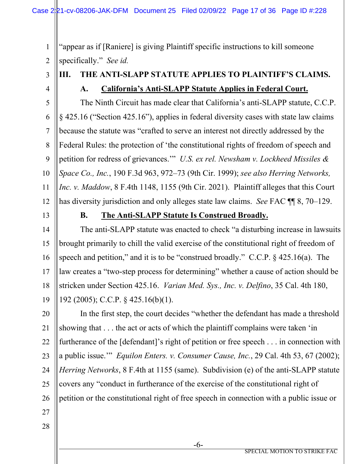1 2 "appear as if [Raniere] is giving Plaintiff specific instructions to kill someone specifically." *See id.* 

3 4

# **III. THE ANTI-SLAPP STATUTE APPLIES TO PLAINTIFF'S CLAIMS. A. California's Anti-SLAPP Statute Applies in Federal Court.**

5 6 7 8 9 10 11 12 The Ninth Circuit has made clear that California's anti-SLAPP statute, C.C.P. § 425.16 ("Section 425.16"), applies in federal diversity cases with state law claims because the statute was "crafted to serve an interest not directly addressed by the Federal Rules: the protection of 'the constitutional rights of freedom of speech and petition for redress of grievances.'" *U.S. ex rel. Newsham v. Lockheed Missiles & Space Co., Inc.*, 190 F.3d 963, 972–73 (9th Cir. 1999); *see also Herring Networks, Inc. v. Maddow*, 8 F.4th 1148, 1155 (9th Cir. 2021). Plaintiff alleges that this Court has diversity jurisdiction and only alleges state law claims. *See* FAC ¶¶ 8, 70–129.

13

### **B. The Anti-SLAPP Statute Is Construed Broadly.**

14 15 16 17 18 19 The anti-SLAPP statute was enacted to check "a disturbing increase in lawsuits brought primarily to chill the valid exercise of the constitutional right of freedom of speech and petition," and it is to be "construed broadly." C.C.P. § 425.16(a). The law creates a "two-step process for determining" whether a cause of action should be stricken under Section 425.16. *Varian Med. Sys., Inc. v. Delfino*, 35 Cal. 4th 180, 192 (2005); C.C.P. § 425.16(b)(1).

20 21 22 23 24 25 26 In the first step, the court decides "whether the defendant has made a threshold showing that . . . the act or acts of which the plaintiff complains were taken 'in furtherance of the [defendant]'s right of petition or free speech . . . in connection with a public issue.'" *Equilon Enters. v. Consumer Cause, Inc.*, 29 Cal. 4th 53, 67 (2002); *Herring Networks*, 8 F.4th at 1155 (same). Subdivision (e) of the anti-SLAPP statute covers any "conduct in furtherance of the exercise of the constitutional right of petition or the constitutional right of free speech in connection with a public issue or

- 27
- 28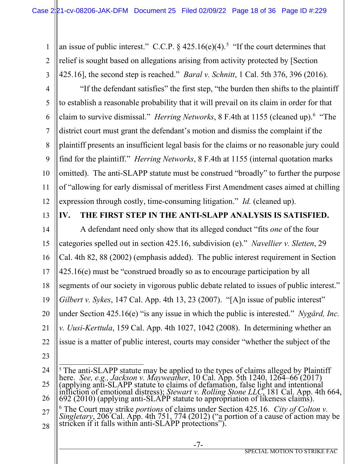1 2 3 an issue of public interest." C.C.P.  $\S$  42[5](#page-17-0).16(e)(4).<sup>5</sup> "If the court determines that relief is sought based on allegations arising from activity protected by [Section 425.16], the second step is reached." *Baral v. Schnitt*, 1 Cal. 5th 376, 396 (2016).

- 4 5 6 7 8 9 10 11 12 "If the defendant satisfies" the first step, "the burden then shifts to the plaintiff to establish a reasonable probability that it will prevail on its claim in order for that claim to survive dismissal." *Herring Networks*, 8 F.4th at 1155 (cleaned up).<sup>[6](#page-17-1)</sup> "The district court must grant the defendant's motion and dismiss the complaint if the plaintiff presents an insufficient legal basis for the claims or no reasonable jury could find for the plaintiff." *Herring Networks*, 8 F.4th at 1155 (internal quotation marks omitted). The anti-SLAPP statute must be construed "broadly" to further the purpose of "allowing for early dismissal of meritless First Amendment cases aimed at chilling expression through costly, time-consuming litigation." *Id.* (cleaned up).
- 13

# **IV. THE FIRST STEP IN THE ANTI-SLAPP ANALYSIS IS SATISFIED.**

14 15 16 17 18 19 20 21 22 A defendant need only show that its alleged conduct "fits *one* of the four categories spelled out in section 425.16, subdivision (e)." *Navellier v. Sletten*, 29 Cal. 4th 82, 88 (2002) (emphasis added). The public interest requirement in Section 425.16(e) must be "construed broadly so as to encourage participation by all segments of our society in vigorous public debate related to issues of public interest." *Gilbert v. Sykes*, 147 Cal. App. 4th 13, 23 (2007). "[A]n issue of public interest" under Section 425.16(e) "is any issue in which the public is interested." *Nygård, Inc. v. Uusi-Kerttula*, 159 Cal. App. 4th 1027, 1042 (2008). In determining whether an issue is a matter of public interest, courts may consider "whether the subject of the

23

<span id="page-17-0"></span>24 25 26 <sup>5</sup> The anti-SLAPP statute may be applied to the types of claims alleged by Plaintiff here. *See, e.g., Jackson v. Mayweather*, 10 Cal. App. 5th 1240, 1264–66 (2017) (applying anti-SLAPP statute to claims of defamation, f infliction of emotional distress); *Stewart v. Rolling Stone LLC*, 181 Cal. App. 4th 664, 692 (2010) (applying anti-SLAPP statute to appropriation of likeness claims).

<span id="page-17-1"></span>27 28 <sup>6</sup> The Court may strike *portions* of claims under Section 425.16. *City of Colton v.*<br>Singletary, 206 Cal. App. 4th 751, 774 (2012) ("a portion of a cause of action may be stricken if it falls within anti-SLAPP protecti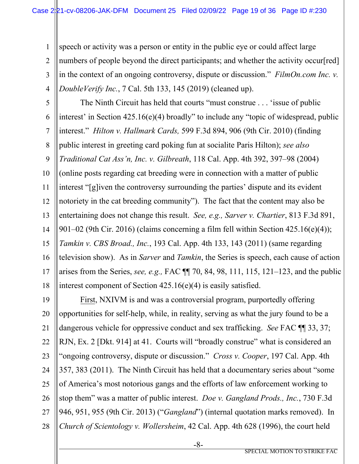1

2

3 4 speech or activity was a person or entity in the public eye or could affect large numbers of people beyond the direct participants; and whether the activity occur [red] in the context of an ongoing controversy, dispute or discussion." *FilmOn.com Inc. v. DoubleVerify Inc.*, 7 Cal. 5th 133, 145 (2019) (cleaned up).

5 6 7 8 9 10 11 12 13 14 15 16 17 18 The Ninth Circuit has held that courts "must construe . . . 'issue of public interest' in Section 425.16(e)(4) broadly" to include any "topic of widespread, public interest." *Hilton v. Hallmark Cards,* 599 F.3d 894, 906 (9th Cir. 2010) (finding public interest in greeting card poking fun at socialite Paris Hilton); *see also Traditional Cat Ass'n, Inc. v. Gilbreath*, 118 Cal. App. 4th 392, 397–98 (2004) (online posts regarding cat breeding were in connection with a matter of public interest "[g]iven the controversy surrounding the parties' dispute and its evident notoriety in the cat breeding community"). The fact that the content may also be entertaining does not change this result. *See, e.g., Sarver v. Chartier*, 813 F.3d 891, 901–02 (9th Cir. 2016) (claims concerning a film fell within Section 425.16(e)(4)); *Tamkin v. CBS Broad., Inc.*, 193 Cal. App. 4th 133, 143 (2011) (same regarding television show). As in *Sarver* and *Tamkin*, the Series is speech, each cause of action arises from the Series, *see, e.g.,* FAC ¶¶ 70, 84, 98, 111, 115, 121–123, and the public interest component of Section 425.16(e)(4) is easily satisfied.

19 20 21 22 23 24 25 26 27 28 First, NXIVM is and was a controversial program, purportedly offering opportunities for self-help, while, in reality, serving as what the jury found to be a dangerous vehicle for oppressive conduct and sex trafficking. *See* FAC ¶¶ 33, 37; RJN, Ex. 2 [Dkt. 914] at 41. Courts will "broadly construe" what is considered an "ongoing controversy, dispute or discussion." *Cross v. Cooper*, 197 Cal. App. 4th 357, 383 (2011). The Ninth Circuit has held that a documentary series about "some of America's most notorious gangs and the efforts of law enforcement working to stop them" was a matter of public interest. *Doe v. Gangland Prods., Inc.*, 730 F.3d 946, 951, 955 (9th Cir. 2013) ("*Gangland*") (internal quotation marks removed). In *Church of Scientology v. Wollersheim*, 42 Cal. App. 4th 628 (1996), the court held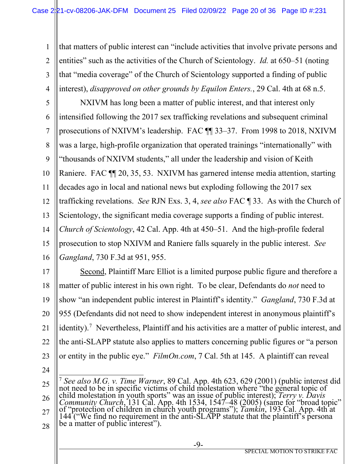1 2 3 4 that matters of public interest can "include activities that involve private persons and entities" such as the activities of the Church of Scientology. *Id.* at 650–51 (noting that "media coverage" of the Church of Scientology supported a finding of public interest), *disapproved on other grounds by Equilon Enters.*, 29 Cal. 4th at 68 n.5.

5 6 7 8 9 10 11 12 13 14 15 16 NXIVM has long been a matter of public interest, and that interest only intensified following the 2017 sex trafficking revelations and subsequent criminal prosecutions of NXIVM's leadership. FAC ¶¶ 33–37. From 1998 to 2018, NXIVM was a large, high-profile organization that operated trainings "internationally" with "thousands of NXIVM students," all under the leadership and vision of Keith Raniere. FAC  $\P$  20, 35, 53. NXIVM has garnered intense media attention, starting decades ago in local and national news but exploding following the 2017 sex trafficking revelations. *See* RJN Exs. 3, 4, *see also* FAC ¶ 33. As with the Church of Scientology, the significant media coverage supports a finding of public interest. *Church of Scientology*, 42 Cal. App. 4th at 450–51. And the high-profile federal prosecution to stop NXIVM and Raniere falls squarely in the public interest. *See Gangland*, 730 F.3d at 951, 955.

17 18 19 20 21 22 23 Second, Plaintiff Marc Elliot is a limited purpose public figure and therefore a matter of public interest in his own right. To be clear, Defendants do *not* need to show "an independent public interest in Plaintiff's identity." *Gangland*, 730 F.3d at 955 (Defendants did not need to show independent interest in anonymous plaintiff's identity).<sup>[7](#page-19-0)</sup> Nevertheless, Plaintiff and his activities are a matter of public interest, and the anti-SLAPP statute also applies to matters concerning public figures or "a person or entity in the public eye." *FilmOn.com*, 7 Cal. 5th at 145. A plaintiff can reveal

24

<span id="page-19-0"></span><sup>25</sup> 26 27 28 <sup>7</sup> *See also M.G. v. Time Warner*, 89 Cal. App. 4th 623, 629 (2001) (public interest did not need to be in specific victims of child molestation where "the general topic of child molestation in youth sports" was an issue of public interest); Terry v. Davis<br>Community Church, 131 Cal. App. 4th 1534, 1547–48 (2005) (same for "broad topic"<br>of "protection of children in church youth programs"); Ta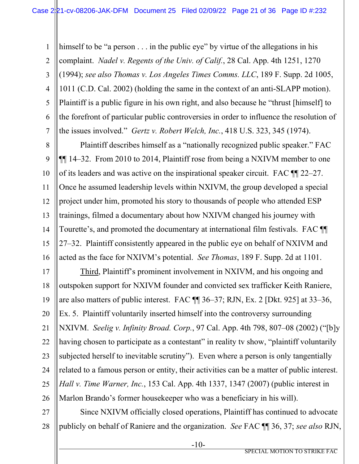1 2 3 4 5 6 7 himself to be "a person . . . in the public eye" by virtue of the allegations in his complaint. *Nadel v. Regents of the Univ. of Calif.*, 28 Cal. App. 4th 1251, 1270 (1994); *see also Thomas v. Los Angeles Times Comms. LLC*, 189 F. Supp. 2d 1005, 1011 (C.D. Cal. 2002) (holding the same in the context of an anti-SLAPP motion). Plaintiff is a public figure in his own right, and also because he "thrust [himself] to the forefront of particular public controversies in order to influence the resolution of the issues involved." *Gertz v. Robert Welch, Inc.*, 418 U.S. 323, 345 (1974).

8 9 10 11 12 13 14 15 16 Plaintiff describes himself as a "nationally recognized public speaker." FAC ¶¶ 14–32. From 2010 to 2014, Plaintiff rose from being a NXIVM member to one of its leaders and was active on the inspirational speaker circuit. FAC ¶¶ 22–27. Once he assumed leadership levels within NXIVM, the group developed a special project under him, promoted his story to thousands of people who attended ESP trainings, filmed a documentary about how NXIVM changed his journey with Tourette's, and promoted the documentary at international film festivals. FAC ¶¶ 27–32. Plaintiff consistently appeared in the public eye on behalf of NXIVM and acted as the face for NXIVM's potential. *See Thomas*, 189 F. Supp. 2d at 1101.

17 18 19 20 21 22 23 24 25 26 Third, Plaintiff's prominent involvement in NXIVM, and his ongoing and outspoken support for NXIVM founder and convicted sex trafficker Keith Raniere, are also matters of public interest. FAC ¶¶ 36–37; RJN, Ex. 2 [Dkt. 925] at 33–36, Ex. 5. Plaintiff voluntarily inserted himself into the controversy surrounding NXIVM. *Seelig v. Infinity Broad. Corp.*, 97 Cal. App. 4th 798, 807–08 (2002) ("[b]y having chosen to participate as a contestant" in reality tv show, "plaintiff voluntarily subjected herself to inevitable scrutiny"). Even where a person is only tangentially related to a famous person or entity, their activities can be a matter of public interest. *Hall v. Time Warner, Inc.*, 153 Cal. App. 4th 1337, 1347 (2007) (public interest in Marlon Brando's former housekeeper who was a beneficiary in his will).

27 28 Since NXIVM officially closed operations, Plaintiff has continued to advocate publicly on behalf of Raniere and the organization. *See* FAC ¶¶ 36, 37; *see also* RJN,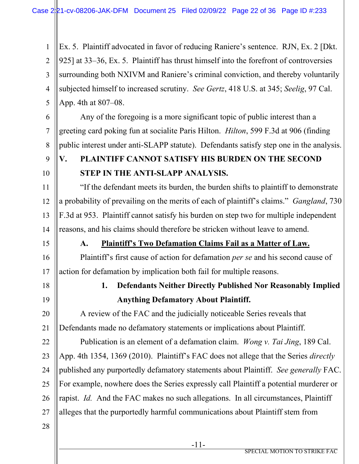1 2 3 4 5 Ex. 5. Plaintiff advocated in favor of reducing Raniere's sentence. RJN, Ex. 2 [Dkt. 925] at 33–36, Ex. 5. Plaintiff has thrust himself into the forefront of controversies surrounding both NXIVM and Raniere's criminal conviction, and thereby voluntarily subjected himself to increased scrutiny. *See Gertz*, 418 U.S. at 345; *Seelig*, 97 Cal. App. 4th at 807–08.

6

7

8

9

10

11

12

13

14

Any of the foregoing is a more significant topic of public interest than a greeting card poking fun at socialite Paris Hilton. *Hilton*, 599 F.3d at 906 (finding public interest under anti-SLAPP statute). Defendants satisfy step one in the analysis.

# **V. PLAINTIFF CANNOT SATISFY HIS BURDEN ON THE SECOND STEP IN THE ANTI-SLAPP ANALYSIS.**

"If the defendant meets its burden, the burden shifts to plaintiff to demonstrate a probability of prevailing on the merits of each of plaintiff's claims." *Gangland*, 730 F.3d at 953. Plaintiff cannot satisfy his burden on step two for multiple independent reasons, and his claims should therefore be stricken without leave to amend.

15

# **A. Plaintiff's Two Defamation Claims Fail as a Matter of Law.**

16 17 Plaintiff's first cause of action for defamation *per se* and his second cause of action for defamation by implication both fail for multiple reasons.

18 19

21

# **1. Defendants Neither Directly Published Nor Reasonably Implied Anything Defamatory About Plaintiff.**

20 A review of the FAC and the judicially noticeable Series reveals that Defendants made no defamatory statements or implications about Plaintiff.

22 23 24 25 26 27 Publication is an element of a defamation claim. *Wong v. Tai Jing*, 189 Cal. App. 4th 1354, 1369 (2010). Plaintiff's FAC does not allege that the Series *directly* published any purportedly defamatory statements about Plaintiff. *See generally* FAC. For example, nowhere does the Series expressly call Plaintiff a potential murderer or rapist. *Id.* And the FAC makes no such allegations. In all circumstances, Plaintiff alleges that the purportedly harmful communications about Plaintiff stem from

28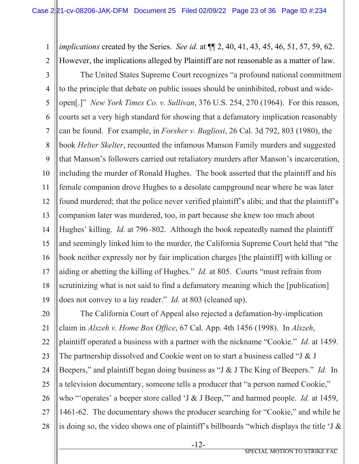1 2 *implications* created by the Series. *See id.* at ¶¶ 2, 40, 41, 43, 45, 46, 51, 57, 59, 62. However, the implications alleged by Plaintiff are not reasonable as a matter of law.

3 4 5 6 7 8 9 10 11 12 13 14 15 16 17 18 19 The United States Supreme Court recognizes "a profound national commitment to the principle that debate on public issues should be uninhibited, robust and wideopen[.]" *New York Times Co. v. Sullivan*, 376 U.S. 254, 270 (1964). For this reason, courts set a very high standard for showing that a defamatory implication reasonably can be found. For example, in *Forsher v. Bugliosi*, 26 Cal. 3d 792, 803 (1980), the book *Helter Skelter*, recounted the infamous Manson Family murders and suggested that Manson's followers carried out retaliatory murders after Manson's incarceration, including the murder of Ronald Hughes. The book asserted that the plaintiff and his female companion drove Hughes to a desolate campground near where he was later found murdered; that the police never verified plaintiff's alibi; and that the plaintiff's companion later was murdered, too, in part because she knew too much about Hughes' killing. *Id.* at 796–802. Although the book repeatedly named the plaintiff and seemingly linked him to the murder, the California Supreme Court held that "the book neither expressly nor by fair implication charges [the plaintiff] with killing or aiding or abetting the killing of Hughes." *Id.* at 805. Courts "must refrain from scrutinizing what is not said to find a defamatory meaning which the [publication] does not convey to a lay reader." *Id.* at 803 (cleaned up).

20 21 22 23 24 25 26 27 28 The California Court of Appeal also rejected a defamation-by-implication claim in *Alszeh v. Home Box Office*, 67 Cal. App. 4th 1456 (1998). In *Alszeh*, plaintiff operated a business with a partner with the nickname "Cookie." *Id.* at 1459. The partnership dissolved and Cookie went on to start a business called "J & J Beepers," and plaintiff began doing business as "J & J The King of Beepers." *Id.* In a television documentary, someone tells a producer that "a person named Cookie," who "'operates' a beeper store called 'J & J Beep,'" and harmed people. *Id.* at 1459, 1461-62. The documentary shows the producer searching for "Cookie," and while he is doing so, the video shows one of plaintiff's billboards "which displays the title 'J &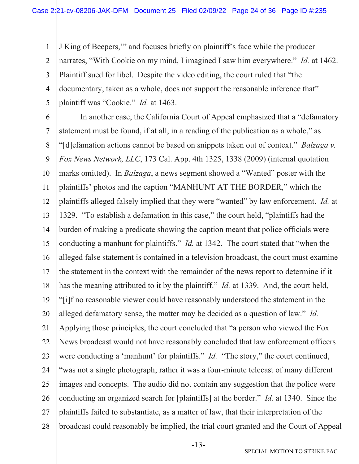1 2 3 4 5 J King of Beepers,'" and focuses briefly on plaintiff's face while the producer narrates, "With Cookie on my mind, I imagined I saw him everywhere." *Id.* at 1462. Plaintiff sued for libel. Despite the video editing, the court ruled that "the documentary, taken as a whole, does not support the reasonable inference that" plaintiff was "Cookie." *Id.* at 1463.

6

7 8 9 10 11 12 13 14 15 16 17 18 19 20 21 22 23 24 25 26 27 28 In another case, the California Court of Appeal emphasized that a "defamatory statement must be found, if at all, in a reading of the publication as a whole," as "[d]efamation actions cannot be based on snippets taken out of context." *Balzaga v. Fox News Network, LLC*, 173 Cal. App. 4th 1325, 1338 (2009) (internal quotation marks omitted). In *Balzaga*, a news segment showed a "Wanted" poster with the plaintiffs' photos and the caption "MANHUNT AT THE BORDER," which the plaintiffs alleged falsely implied that they were "wanted" by law enforcement. *Id.* at 1329. "To establish a defamation in this case," the court held, "plaintiffs had the burden of making a predicate showing the caption meant that police officials were conducting a manhunt for plaintiffs." *Id.* at 1342. The court stated that "when the alleged false statement is contained in a television broadcast, the court must examine the statement in the context with the remainder of the news report to determine if it has the meaning attributed to it by the plaintiff." *Id.* at 1339. And, the court held, "[i]f no reasonable viewer could have reasonably understood the statement in the alleged defamatory sense, the matter may be decided as a question of law." *Id.* Applying those principles, the court concluded that "a person who viewed the Fox News broadcast would not have reasonably concluded that law enforcement officers were conducting a 'manhunt' for plaintiffs." *Id.* "The story," the court continued, "was not a single photograph; rather it was a four-minute telecast of many different images and concepts. The audio did not contain any suggestion that the police were conducting an organized search for [plaintiffs] at the border." *Id.* at 1340. Since the plaintiffs failed to substantiate, as a matter of law, that their interpretation of the broadcast could reasonably be implied, the trial court granted and the Court of Appeal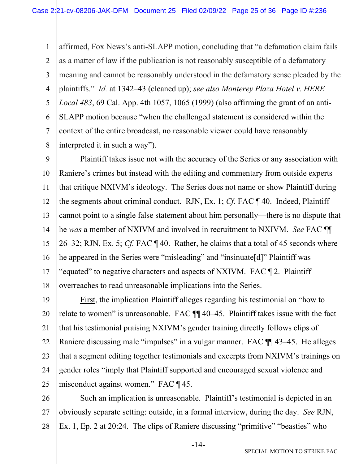1 2 3 4 5 6 7 8 affirmed, Fox News's anti-SLAPP motion, concluding that "a defamation claim fails as a matter of law if the publication is not reasonably susceptible of a defamatory meaning and cannot be reasonably understood in the defamatory sense pleaded by the plaintiffs." *Id.* at 1342–43 (cleaned up); *see also Monterey Plaza Hotel v. HERE Local 483*, 69 Cal. App. 4th 1057, 1065 (1999) (also affirming the grant of an anti-SLAPP motion because "when the challenged statement is considered within the context of the entire broadcast, no reasonable viewer could have reasonably interpreted it in such a way").

9 10 11 12 13 14 15 16 17 18 Plaintiff takes issue not with the accuracy of the Series or any association with Raniere's crimes but instead with the editing and commentary from outside experts that critique NXIVM's ideology. The Series does not name or show Plaintiff during the segments about criminal conduct. RJN, Ex. 1; *Cf.* FAC ¶ 40. Indeed, Plaintiff cannot point to a single false statement about him personally—there is no dispute that he *was* a member of NXIVM and involved in recruitment to NXIVM. *See* FAC ¶¶ 26–32; RJN, Ex. 5; *Cf.* FAC ¶ 40. Rather, he claims that a total of 45 seconds where he appeared in the Series were "misleading" and "insinuate[d]" Plaintiff was "equated" to negative characters and aspects of NXIVM. FAC ¶ 2. Plaintiff overreaches to read unreasonable implications into the Series.

19 20 21 22 23 24 25 First, the implication Plaintiff alleges regarding his testimonial on "how to relate to women" is unreasonable. FAC ¶¶ 40–45. Plaintiff takes issue with the fact that his testimonial praising NXIVM's gender training directly follows clips of Raniere discussing male "impulses" in a vulgar manner. FAC ¶¶ 43–45. He alleges that a segment editing together testimonials and excerpts from NXIVM's trainings on gender roles "imply that Plaintiff supported and encouraged sexual violence and misconduct against women." FAC ¶ 45.

26 27 28 Such an implication is unreasonable. Plaintiff's testimonial is depicted in an obviously separate setting: outside, in a formal interview, during the day. *See* RJN, Ex. 1, Ep. 2 at 20:24. The clips of Raniere discussing "primitive" "beasties" who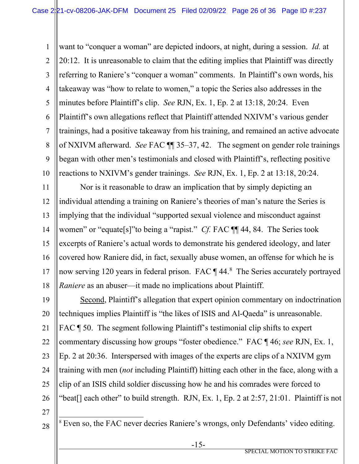1 2 3 4 5 6 7 8 9 10 want to "conquer a woman" are depicted indoors, at night, during a session. *Id.* at 20:12. It is unreasonable to claim that the editing implies that Plaintiff was directly referring to Raniere's "conquer a woman" comments. In Plaintiff's own words, his takeaway was "how to relate to women," a topic the Series also addresses in the minutes before Plaintiff's clip. *See* RJN, Ex. 1, Ep. 2 at 13:18, 20:24. Even Plaintiff's own allegations reflect that Plaintiff attended NXIVM's various gender trainings, had a positive takeaway from his training, and remained an active advocate of NXIVM afterward. *See* FAC ¶¶ 35–37, 42. The segment on gender role trainings began with other men's testimonials and closed with Plaintiff's, reflecting positive reactions to NXIVM's gender trainings. *See* RJN, Ex. 1, Ep. 2 at 13:18, 20:24.

11 12 13 14 15 16 17 18 Nor is it reasonable to draw an implication that by simply depicting an individual attending a training on Raniere's theories of man's nature the Series is implying that the individual "supported sexual violence and misconduct against women" or "equate[s]"to being a "rapist." *Cf.* FAC  $\P\P$  44, 84. The Series took excerpts of Raniere's actual words to demonstrate his gendered ideology, and later covered how Raniere did, in fact, sexually abuse women, an offense for which he is now serving 120 years in federal prison. FAC ¶ 44.[8](#page-25-0) The Series accurately portrayed *Raniere* as an abuser—it made no implications about Plaintiff.

19 20 21 22 23 24 25 26 Second, Plaintiff's allegation that expert opinion commentary on indoctrination techniques implies Plaintiff is "the likes of ISIS and Al-Qaeda" is unreasonable. FAC ¶ 50. The segment following Plaintiff's testimonial clip shifts to expert commentary discussing how groups "foster obedience." FAC ¶ 46; *see* RJN, Ex. 1, Ep. 2 at 20:36. Interspersed with images of the experts are clips of a NXIVM gym training with men (*not* including Plaintiff) hitting each other in the face, along with a clip of an ISIS child soldier discussing how he and his comrades were forced to "beat[] each other" to build strength. RJN, Ex. 1, Ep. 2 at 2:57, 21:01. Plaintiff is not

27

<span id="page-25-0"></span>28

<sup>8</sup> Even so, the FAC never decries Raniere's wrongs, only Defendants' video editing.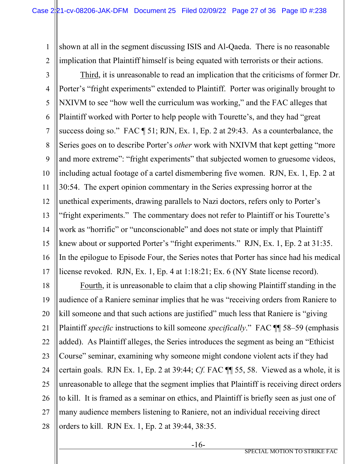1 2 shown at all in the segment discussing ISIS and Al-Qaeda. There is no reasonable implication that Plaintiff himself is being equated with terrorists or their actions.

3 4 5 6 7 8 9 10 11 12 13 14 15 16 17 Third, it is unreasonable to read an implication that the criticisms of former Dr. Porter's "fright experiments" extended to Plaintiff. Porter was originally brought to NXIVM to see "how well the curriculum was working," and the FAC alleges that Plaintiff worked with Porter to help people with Tourette's, and they had "great success doing so." FAC ¶ 51; RJN, Ex. 1, Ep. 2 at 29:43. As a counterbalance, the Series goes on to describe Porter's *other* work with NXIVM that kept getting "more and more extreme": "fright experiments" that subjected women to gruesome videos, including actual footage of a cartel dismembering five women. RJN, Ex. 1, Ep. 2 at 30:54. The expert opinion commentary in the Series expressing horror at the unethical experiments, drawing parallels to Nazi doctors, refers only to Porter's "fright experiments." The commentary does not refer to Plaintiff or his Tourette's work as "horrific" or "unconscionable" and does not state or imply that Plaintiff knew about or supported Porter's "fright experiments." RJN, Ex. 1, Ep. 2 at 31:35. In the epilogue to Episode Four, the Series notes that Porter has since had his medical license revoked. RJN, Ex. 1, Ep. 4 at 1:18:21; Ex. 6 (NY State license record).

18 19 20 21 22 23 24 25 26 27 28 Fourth, it is unreasonable to claim that a clip showing Plaintiff standing in the audience of a Raniere seminar implies that he was "receiving orders from Raniere to kill someone and that such actions are justified" much less that Raniere is "giving Plaintiff *specific* instructions to kill someone *specifically*." FAC ¶¶ 58–59 (emphasis added). As Plaintiff alleges, the Series introduces the segment as being an "Ethicist Course" seminar, examining why someone might condone violent acts if they had certain goals. RJN Ex. 1, Ep. 2 at 39:44; *Cf.* FAC ¶¶ 55, 58. Viewed as a whole, it is unreasonable to allege that the segment implies that Plaintiff is receiving direct orders to kill. It is framed as a seminar on ethics, and Plaintiff is briefly seen as just one of many audience members listening to Raniere, not an individual receiving direct orders to kill. RJN Ex. 1, Ep. 2 at 39:44, 38:35.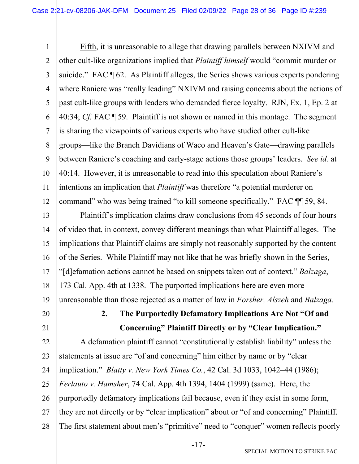1 2 3 4 5 6 7 8 9 10 11 12 Fifth, it is unreasonable to allege that drawing parallels between NXIVM and other cult-like organizations implied that *Plaintiff himself* would "commit murder or suicide." FAC ¶ 62. As Plaintiff alleges, the Series shows various experts pondering where Raniere was "really leading" NXIVM and raising concerns about the actions of past cult-like groups with leaders who demanded fierce loyalty. RJN, Ex. 1, Ep. 2 at 40:34; *Cf.* FAC ¶ 59. Plaintiff is not shown or named in this montage. The segment is sharing the viewpoints of various experts who have studied other cult-like groups—like the Branch Davidians of Waco and Heaven's Gate—drawing parallels between Raniere's coaching and early-stage actions those groups' leaders. *See id.* at 40:14.However, it is unreasonable to read into this speculation about Raniere's intentions an implication that *Plaintiff* was therefore "a potential murderer on command" who was being trained "to kill someone specifically." FAC ¶¶ 59, 84.

13 14 15 16 17 18 19 Plaintiff's implication claims draw conclusions from 45 seconds of four hours of video that, in context, convey different meanings than what Plaintiff alleges. The implications that Plaintiff claims are simply not reasonably supported by the content of the Series. While Plaintiff may not like that he was briefly shown in the Series, "[d]efamation actions cannot be based on snippets taken out of context." *Balzaga*, 173 Cal. App. 4th at 1338. The purported implications here are even more unreasonable than those rejected as a matter of law in *Forsher, Alszeh* and *Balzaga.*

20

21

**2. The Purportedly Defamatory Implications Are Not "Of and Concerning" Plaintiff Directly or by "Clear Implication."**

22 23 24 25 26 27 28 A defamation plaintiff cannot "constitutionally establish liability" unless the statements at issue are "of and concerning" him either by name or by "clear implication." *Blatty v. New York Times Co.*, 42 Cal. 3d 1033, 1042–44 (1986); *Ferlauto v. Hamsher*, 74 Cal. App. 4th 1394, 1404 (1999) (same). Here, the purportedly defamatory implications fail because, even if they exist in some form, they are not directly or by "clear implication" about or "of and concerning" Plaintiff. The first statement about men's "primitive" need to "conquer" women reflects poorly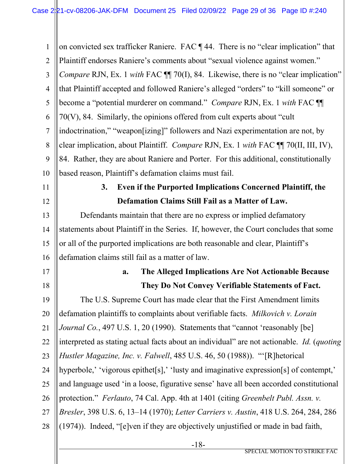| $\mathbf{1}$   | on convicted sex trafficker Raniere. FAC $\P$ 44. There is no "clear implication" that    |
|----------------|-------------------------------------------------------------------------------------------|
| $\overline{2}$ | Plaintiff endorses Raniere's comments about "sexual violence against women."              |
| $\overline{3}$ | Compare RJN, Ex. 1 with FAC ¶ 70(I), 84. Likewise, there is no "clear implication"        |
| $\overline{4}$ | that Plaintiff accepted and followed Raniere's alleged "orders" to "kill someone" or      |
| 5              | become a "potential murderer on command." <i>Compare RJN</i> , Ex. 1 with FAC <b>[1]</b>  |
| 6              | 70(V), 84. Similarly, the opinions offered from cult experts about "cult"                 |
| $\overline{7}$ | indoctrination," "weapon[izing]" followers and Nazi experimentation are not, by           |
| 8              | clear implication, about Plaintiff. Compare RJN, Ex. 1 with FAC TI 70(II, III, IV),       |
| 9              | 84. Rather, they are about Raniere and Porter. For this additional, constitutionally      |
| 10             | based reason, Plaintiff's defamation claims must fail.                                    |
| 11             | Even if the Purported Implications Concerned Plaintiff, the<br>3.                         |
| 12             | Defamation Claims Still Fail as a Matter of Law.                                          |
| 13             | Defendants maintain that there are no express or implied defamatory                       |
| 14             | statements about Plaintiff in the Series. If, however, the Court concludes that some      |
| 15             | or all of the purported implications are both reasonable and clear, Plaintiff's           |
| 16             | defamation claims still fail as a matter of law.                                          |
| 17             | The Alleged Implications Are Not Actionable Because<br>a.                                 |
| 18             | They Do Not Convey Verifiable Statements of Fact.                                         |
| 19             | The U.S. Supreme Court has made clear that the First Amendment limits                     |
| 20             | defamation plaintiffs to complaints about verifiable facts. Milkovich v. Lorain           |
| 21             | <i>Journal Co.</i> , 497 U.S. 1, 20 (1990). Statements that "cannot 'reasonably [be]      |
| 22             | interpreted as stating actual facts about an individual" are not actionable. Id. (quoting |
| 23             | <i>Hustler Magazine, Inc. v. Falwell</i> , 485 U.S. 46, 50 (1988)). "'[R] hetorical       |
| 24             | hyperbole,' 'vigorous epithet[s],' 'lusty and imaginative expression[s] of contempt,'     |
| 25             | and language used 'in a loose, figurative sense' have all been accorded constitutional    |
| 26             | protection." Ferlauto, 74 Cal. App. 4th at 1401 (citing Greenbelt Publ. Assn. v.          |
| 27             | Bresler, 398 U.S. 6, 13-14 (1970); Letter Carriers v. Austin, 418 U.S. 264, 284, 286      |
| 28             | (1974)). Indeed, "[e]ven if they are objectively unjustified or made in bad faith,        |
|                |                                                                                           |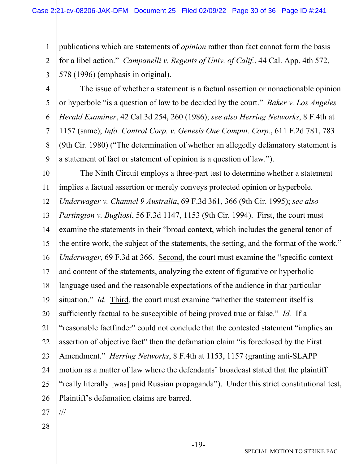1 2 3 publications which are statements of *opinion* rather than fact cannot form the basis for a libel action." *Campanelli v. Regents of Univ. of Calif.*, 44 Cal. App. 4th 572, 578 (1996) (emphasis in original).

4

5

6

7

8

9

The issue of whether a statement is a factual assertion or nonactionable opinion or hyperbole "is a question of law to be decided by the court." *Baker v. Los Angeles Herald Examiner*, 42 Cal.3d 254, 260 (1986); *see also Herring Networks*, 8 F.4th at 1157 (same); *Info. Control Corp. v. Genesis One Comput. Corp.*, 611 F.2d 781, 783 (9th Cir. 1980) ("The determination of whether an allegedly defamatory statement is a statement of fact or statement of opinion is a question of law.").

10 11 12 13 14 15 16 17 18 19 20 21 22 23 24 25 26 The Ninth Circuit employs a three-part test to determine whether a statement implies a factual assertion or merely conveys protected opinion or hyperbole. *Underwager v. Channel 9 Australia*, 69 F.3d 361, 366 (9th Cir. 1995); *see also Partington v. Bugliosi*, 56 F.3d 1147, 1153 (9th Cir. 1994). First, the court must examine the statements in their "broad context, which includes the general tenor of the entire work, the subject of the statements, the setting, and the format of the work." *Underwager*, 69 F.3d at 366. Second, the court must examine the "specific context and content of the statements, analyzing the extent of figurative or hyperbolic language used and the reasonable expectations of the audience in that particular situation." *Id.* Third, the court must examine "whether the statement itself is sufficiently factual to be susceptible of being proved true or false." *Id.* If a "reasonable factfinder" could not conclude that the contested statement "implies an assertion of objective fact" then the defamation claim "is foreclosed by the First Amendment." *Herring Networks*, 8 F.4th at 1153, 1157 (granting anti-SLAPP motion as a matter of law where the defendants' broadcast stated that the plaintiff "really literally [was] paid Russian propaganda"). Under this strict constitutional test, Plaintiff's defamation claims are barred.

27

///

28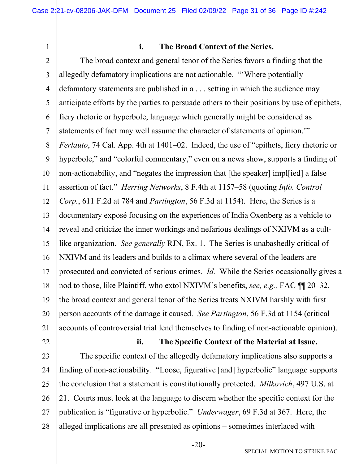1

# **i. The Broad Context of the Series.**

2 3 4 5 6 7 8 9 10 11 12 13 14 15 16 17 18 19 20 21 The broad context and general tenor of the Series favors a finding that the allegedly defamatory implications are not actionable. "'Where potentially defamatory statements are published in a . . . setting in which the audience may anticipate efforts by the parties to persuade others to their positions by use of epithets, fiery rhetoric or hyperbole, language which generally might be considered as statements of fact may well assume the character of statements of opinion.'" *Ferlauto*, 74 Cal. App. 4th at 1401–02. Indeed, the use of "epithets, fiery rhetoric or hyperbole," and "colorful commentary," even on a news show, supports a finding of non-actionability, and "negates the impression that [the speaker] impl[ied] a false assertion of fact." *Herring Networks*, 8 F.4th at 1157–58 (quoting *Info. Control Corp.*, 611 F.2d at 784 and *Partington*, 56 F.3d at 1154). Here, the Series is a documentary exposé focusing on the experiences of India Oxenberg as a vehicle to reveal and criticize the inner workings and nefarious dealings of NXIVM as a cultlike organization. *See generally* RJN, Ex. 1. The Series is unabashedly critical of NXIVM and its leaders and builds to a climax where several of the leaders are prosecuted and convicted of serious crimes. *Id.* While the Series occasionally gives a nod to those, like Plaintiff, who extol NXIVM's benefits, *see, e.g.,* FAC ¶¶ 20–32, the broad context and general tenor of the Series treats NXIVM harshly with first person accounts of the damage it caused. *See Partington*, 56 F.3d at 1154 (critical accounts of controversial trial lend themselves to finding of non-actionable opinion).

22

## **ii. The Specific Context of the Material at Issue.**

23 24 25 26 27 28 The specific context of the allegedly defamatory implications also supports a finding of non-actionability. "Loose, figurative [and] hyperbolic" language supports the conclusion that a statement is constitutionally protected. *Milkovich*, 497 U.S. at 21. Courts must look at the language to discern whether the specific context for the publication is "figurative or hyperbolic." *Underwager*, 69 F.3d at 367. Here, the alleged implications are all presented as opinions – sometimes interlaced with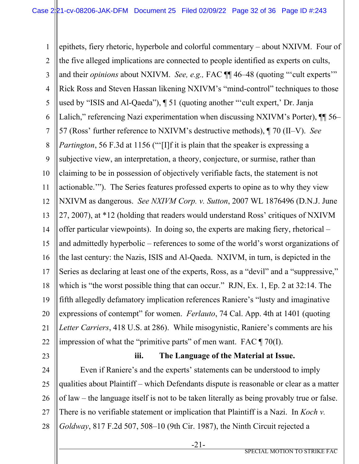1 2 3 4 5 6 7 8 9 10 11 12 13 14 15 16 17 18 19 20 21 22 epithets, fiery rhetoric, hyperbole and colorful commentary – about NXIVM. Four of the five alleged implications are connected to people identified as experts on cults, and their *opinions* about NXIVM. *See, e.g.,* FAC ¶¶ 46–48 (quoting "'cult experts'" Rick Ross and Steven Hassan likening NXIVM's "mind-control" techniques to those used by "ISIS and Al-Qaeda"), ¶ 51 (quoting another "'cult expert,' Dr. Janja Lalich," referencing Nazi experimentation when discussing NXIVM's Porter),  $\P$  56– 57 (Ross' further reference to NXIVM's destructive methods), ¶ 70 (II–V). *See Partington*, 56 F.3d at 1156 ("[I]f it is plain that the speaker is expressing a subjective view, an interpretation, a theory, conjecture, or surmise, rather than claiming to be in possession of objectively verifiable facts, the statement is not actionable.'"). The Series features professed experts to opine as to why they view NXIVM as dangerous. *See NXIVM Corp. v. Sutton*, 2007 WL 1876496 (D.N.J. June 27, 2007), at \*12 (holding that readers would understand Ross' critiques of NXIVM offer particular viewpoints). In doing so, the experts are making fiery, rhetorical – and admittedly hyperbolic – references to some of the world's worst organizations of the last century: the Nazis, ISIS and Al-Qaeda. NXIVM, in turn, is depicted in the Series as declaring at least one of the experts, Ross, as a "devil" and a "suppressive," which is "the worst possible thing that can occur." RJN, Ex. 1, Ep. 2 at 32:14. The fifth allegedly defamatory implication references Raniere's "lusty and imaginative expressions of contempt" for women. *Ferlauto*, 74 Cal. App. 4th at 1401 (quoting *Letter Carriers*, 418 U.S. at 286). While misogynistic, Raniere's comments are his impression of what the "primitive parts" of men want. FAC  $\P$  70(I).

23

# **iii. The Language of the Material at Issue.**

24 25 26 27 28 Even if Raniere's and the experts' statements can be understood to imply qualities about Plaintiff – which Defendants dispute is reasonable or clear as a matter of law – the language itself is not to be taken literally as being provably true or false. There is no verifiable statement or implication that Plaintiff is a Nazi. In *Koch v. Goldway*, 817 F.2d 507, 508–10 (9th Cir. 1987), the Ninth Circuit rejected a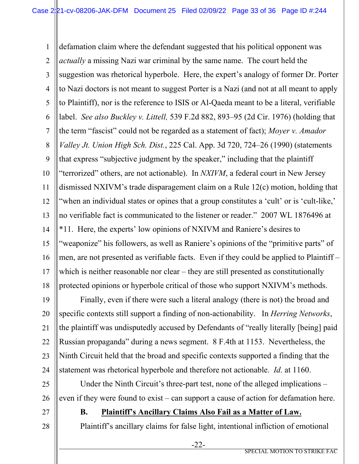1 2 3 4 5 6 7 8 9 10 11 12 13 14 15 16 17 18 defamation claim where the defendant suggested that his political opponent was *actually* a missing Nazi war criminal by the same name. The court held the suggestion was rhetorical hyperbole. Here, the expert's analogy of former Dr. Porter to Nazi doctors is not meant to suggest Porter is a Nazi (and not at all meant to apply to Plaintiff), nor is the reference to ISIS or Al-Qaeda meant to be a literal, verifiable label. *See also Buckley v. Littell,* 539 F.2d 882, 893–95 (2d Cir. 1976) (holding that the term "fascist" could not be regarded as a statement of fact); *Moyer v. Amador Valley Jt. Union High Sch. Dist.*, 225 Cal. App. 3d 720, 724–26 (1990) (statements that express "subjective judgment by the speaker," including that the plaintiff "terrorized" others, are not actionable). In *NXIVM*, a federal court in New Jersey dismissed NXIVM's trade disparagement claim on a Rule 12(c) motion, holding that "when an individual states or opines that a group constitutes a 'cult' or is 'cult-like,' no verifiable fact is communicated to the listener or reader." 2007 WL 1876496 at \*11. Here, the experts' low opinions of NXIVM and Raniere's desires to "weaponize" his followers, as well as Raniere's opinions of the "primitive parts" of men, are not presented as verifiable facts. Even if they could be applied to Plaintiff – which is neither reasonable nor clear – they are still presented as constitutionally protected opinions or hyperbole critical of those who support NXIVM's methods.

19 20 21 22 23 24 Finally, even if there were such a literal analogy (there is not) the broad and specific contexts still support a finding of non-actionability. In *Herring Networks*, the plaintiff was undisputedly accused by Defendants of "really literally [being] paid Russian propaganda" during a news segment. 8 F.4th at 1153. Nevertheless, the Ninth Circuit held that the broad and specific contexts supported a finding that the statement was rhetorical hyperbole and therefore not actionable. *Id.* at 1160.

25 26 Under the Ninth Circuit's three-part test, none of the alleged implications – even if they were found to exist – can support a cause of action for defamation here.

27

28

# **B. Plaintiff's Ancillary Claims Also Fail as a Matter of Law.**

Plaintiff's ancillary claims for false light, intentional infliction of emotional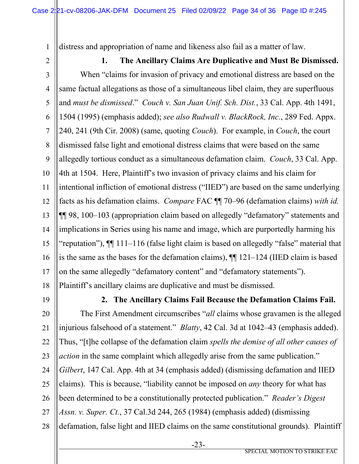distress and appropriation of name and likeness also fail as a matter of law.

2

1

3 4 5 6 7 8 9 10 11 12 13 14 15 16 17 18 **1. The Ancillary Claims Are Duplicative and Must Be Dismissed.** When "claims for invasion of privacy and emotional distress are based on the same factual allegations as those of a simultaneous libel claim, they are superfluous and *must be dismissed*." *Couch v. San Juan Unif. Sch. Dist.*, 33 Cal. App. 4th 1491, 1504 (1995) (emphasis added); *see also Rudwall v. BlackRock, Inc.*, 289 Fed. Appx. 240, 241 (9th Cir. 2008) (same, quoting *Couch*). For example, in *Couch*, the court dismissed false light and emotional distress claims that were based on the same allegedly tortious conduct as a simultaneous defamation claim. *Couch*, 33 Cal. App. 4th at 1504. Here, Plaintiff's two invasion of privacy claims and his claim for intentional infliction of emotional distress ("IIED") are based on the same underlying facts as his defamation claims. *Compare* FAC ¶¶ 70–96 (defamation claims) *with id.* ¶¶ 98, 100–103 (appropriation claim based on allegedly "defamatory" statements and implications in Series using his name and image, which are purportedly harming his "reputation"), ¶¶ 111–116 (false light claim is based on allegedly "false" material that is the same as the bases for the defamation claims), ¶¶ 121–124 (IIED claim is based on the same allegedly "defamatory content" and "defamatory statements"). Plaintiff's ancillary claims are duplicative and must be dismissed.

19

**2. The Ancillary Claims Fail Because the Defamation Claims Fail.**

20 21 22 23 24 25 26 27 28 The First Amendment circumscribes "*all* claims whose gravamen is the alleged injurious falsehood of a statement." *Blatty*, 42 Cal. 3d at 1042–43 (emphasis added). Thus, "[t]he collapse of the defamation claim *spells the demise of all other causes of action* in the same complaint which allegedly arise from the same publication." *Gilbert*, 147 Cal. App. 4th at 34 (emphasis added) (dismissing defamation and IIED claims). This is because, "liability cannot be imposed on *any* theory for what has been determined to be a constitutionally protected publication." *Reader's Digest Assn. v. Super. Ct.*, 37 Cal.3d 244, 265 (1984) (emphasis added) (dismissing defamation, false light and IIED claims on the same constitutional grounds). Plaintiff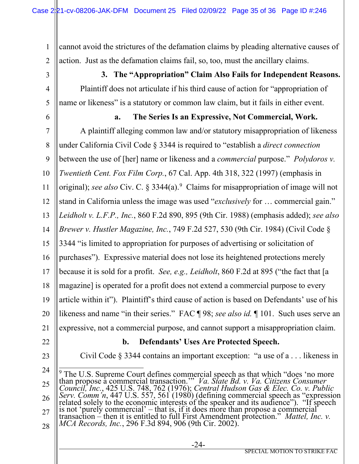1 2 cannot avoid the strictures of the defamation claims by pleading alternative causes of action. Just as the defamation claims fail, so, too, must the ancillary claims.

3

4

**3. The "Appropriation" Claim Also Fails for Independent Reasons.** Plaintiff does not articulate if his third cause of action for "appropriation of name or likeness" is a statutory or common law claim, but it fails in either event.

5 6

# **a. The Series Is an Expressive, Not Commercial, Work.**

7 8 9 10 11 12 13 14 15 16 17 18 19 20 21 A plaintiff alleging common law and/or statutory misappropriation of likeness under California Civil Code § 3344 is required to "establish a *direct connection* between the use of [her] name or likeness and a *commercial* purpose." *Polydoros v. Twentieth Cent. Fox Film Corp.*, 67 Cal. App. 4th 318, 322 (1997) (emphasis in original); *see also* Civ. C. § 3344(a).<sup>[9](#page-34-0)</sup> Claims for misappropriation of image will not stand in California unless the image was used "*exclusively* for … commercial gain." *Leidholt v. L.F.P., Inc.*, 860 F.2d 890, 895 (9th Cir. 1988) (emphasis added); *see also Brewer v. Hustler Magazine, Inc.*, 749 F.2d 527, 530 (9th Cir. 1984) (Civil Code § 3344 "is limited to appropriation for purposes of advertising or solicitation of purchases"). Expressive material does not lose its heightened protections merely because it is sold for a profit. *See, e.g., Leidholt*, 860 F.2d at 895 ("the fact that [a magazine] is operated for a profit does not extend a commercial purpose to every article within it"). Plaintiff's third cause of action is based on Defendants' use of his likeness and name "in their series." FAC ¶ 98; *see also id.* ¶ 101. Such uses serve an expressive, not a commercial purpose, and cannot support a misappropriation claim.

- 22
- 23

# **b. Defendants' Uses Are Protected Speech.**

Civil Code § 3344 contains an important exception: "a use of a . . . likeness in

<span id="page-34-0"></span><sup>24</sup> 25 26 27 28  $9$  The U.S. Supreme Court defines commercial speech as that which "does 'no more than propose a commercial transaction.'" *Va. State Bd. v. Va. Citizens Consumer Council, Inc.*, 425 U.S. 748, 762 (1976); *Central Hudson Gas & Elec. Co. v. Public Serv. Comm'n*, 447 U.S. 557, 561 (1980) (defining commercial speech as "expression related solely to the economic interests of the speaker and its audience"). "If speech is not 'purely commercial' – that is, if it does more than propose a commercial transaction – then it is entitled to full First Amendment protection." *Mattel, Inc. v. MCA Records, Inc.*, 296 F.3d 894, 906 (9th Cir. 2002).